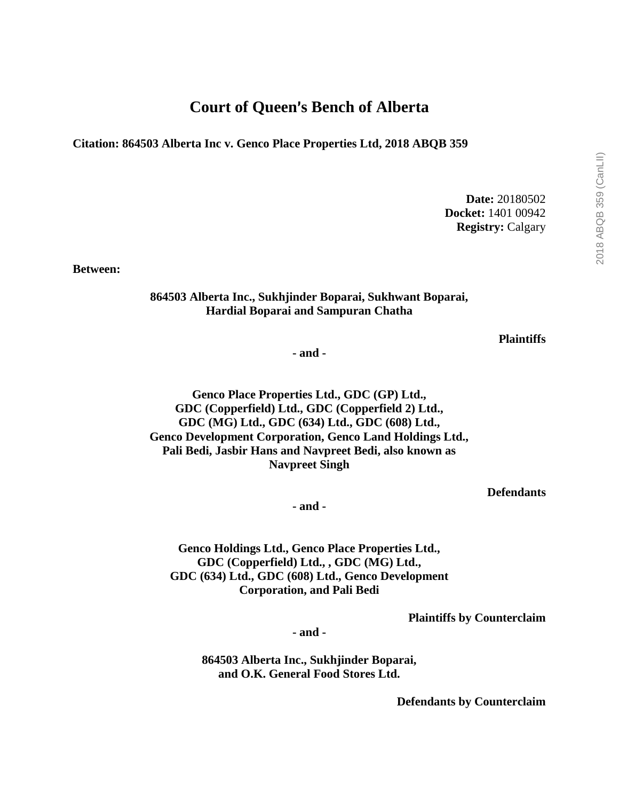## **Court of Queen's Bench of Alberta**

**Citation: 864503 Alberta Inc v. Genco Place Properties Ltd, 2018 ABQB 359**

**Date:** 20180502 **Docket:** 1401 00942 **Registry:** Calgary

**Between:**

## **864503 Alberta Inc., Sukhjinder Boparai, Sukhwant Boparai, Hardial Boparai and Sampuran Chatha**

**Plaintiffs**

**- and -**

**Genco Place Properties Ltd., GDC (GP) Ltd., GDC (Copperfield) Ltd., GDC (Copperfield 2) Ltd., GDC (MG) Ltd., GDC (634) Ltd., GDC (608) Ltd., Genco Development Corporation, Genco Land Holdings Ltd., Pali Bedi, Jasbir Hans and Navpreet Bedi, also known as Navpreet Singh**

**Defendants**

**- and -**

**Genco Holdings Ltd., Genco Place Properties Ltd., GDC (Copperfield) Ltd., , GDC (MG) Ltd., GDC (634) Ltd., GDC (608) Ltd., Genco Development Corporation, and Pali Bedi**

**Plaintiffs by Counterclaim**

**- and -**

**864503 Alberta Inc., Sukhjinder Boparai, and O.K. General Food Stores Ltd.**

**Defendants by Counterclaim**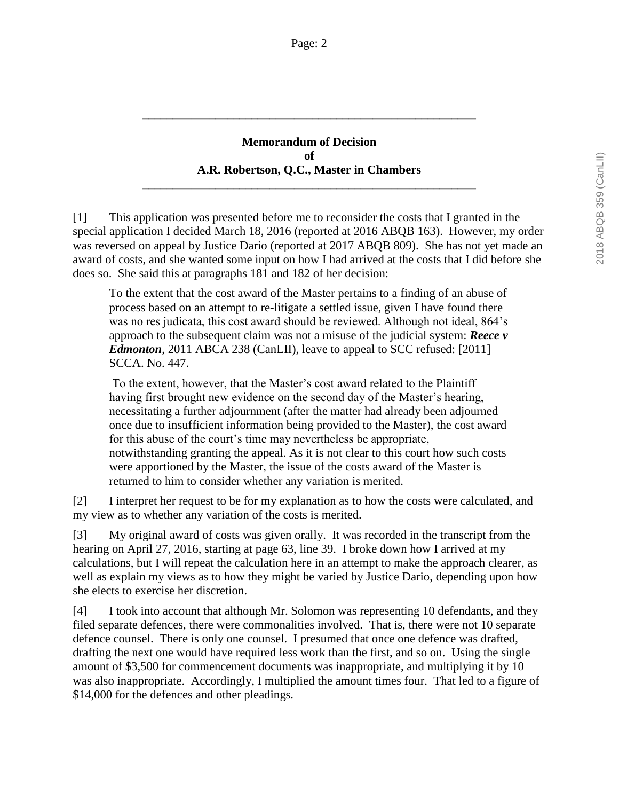## **Memorandum of Decision of A.R. Robertson, Q.C., Master in Chambers**

**\_\_\_\_\_\_\_\_\_\_\_\_\_\_\_\_\_\_\_\_\_\_\_\_\_\_\_\_\_\_\_\_\_\_\_\_\_\_\_\_\_\_\_\_\_\_\_\_\_\_\_\_\_\_\_**

**\_\_\_\_\_\_\_\_\_\_\_\_\_\_\_\_\_\_\_\_\_\_\_\_\_\_\_\_\_\_\_\_\_\_\_\_\_\_\_\_\_\_\_\_\_\_\_\_\_\_\_\_\_\_\_**

[1] This application was presented before me to reconsider the costs that I granted in the special application I decided March 18, 2016 (reported at 2016 ABQB 163). However, my order was reversed on appeal by Justice Dario (reported at 2017 ABQB 809). She has not yet made an award of costs, and she wanted some input on how I had arrived at the costs that I did before she does so. She said this at paragraphs 181 and 182 of her decision:

To the extent that the cost award of the Master pertains to a finding of an abuse of process based on an attempt to re-litigate a settled issue, given I have found there was no res judicata, this cost award should be reviewed. Although not ideal, 864's approach to the subsequent claim was not a misuse of the judicial system: *Reece v Edmonton*, 2011 ABCA 238 (CanLII), leave to appeal to SCC refused: [2011] SCCA. No. 447.

To the extent, however, that the Master's cost award related to the Plaintiff having first brought new evidence on the second day of the Master's hearing, necessitating a further adjournment (after the matter had already been adjourned once due to insufficient information being provided to the Master), the cost award for this abuse of the court's time may nevertheless be appropriate, notwithstanding granting the appeal. As it is not clear to this court how such costs were apportioned by the Master, the issue of the costs award of the Master is returned to him to consider whether any variation is merited.

[2] I interpret her request to be for my explanation as to how the costs were calculated, and my view as to whether any variation of the costs is merited.

[3] My original award of costs was given orally. It was recorded in the transcript from the hearing on April 27, 2016, starting at page 63, line 39. I broke down how I arrived at my calculations, but I will repeat the calculation here in an attempt to make the approach clearer, as well as explain my views as to how they might be varied by Justice Dario, depending upon how she elects to exercise her discretion.

[4] I took into account that although Mr. Solomon was representing 10 defendants, and they filed separate defences, there were commonalities involved. That is, there were not 10 separate defence counsel. There is only one counsel. I presumed that once one defence was drafted, drafting the next one would have required less work than the first, and so on. Using the single amount of \$3,500 for commencement documents was inappropriate, and multiplying it by 10 was also inappropriate. Accordingly, I multiplied the amount times four. That led to a figure of \$14,000 for the defences and other pleadings.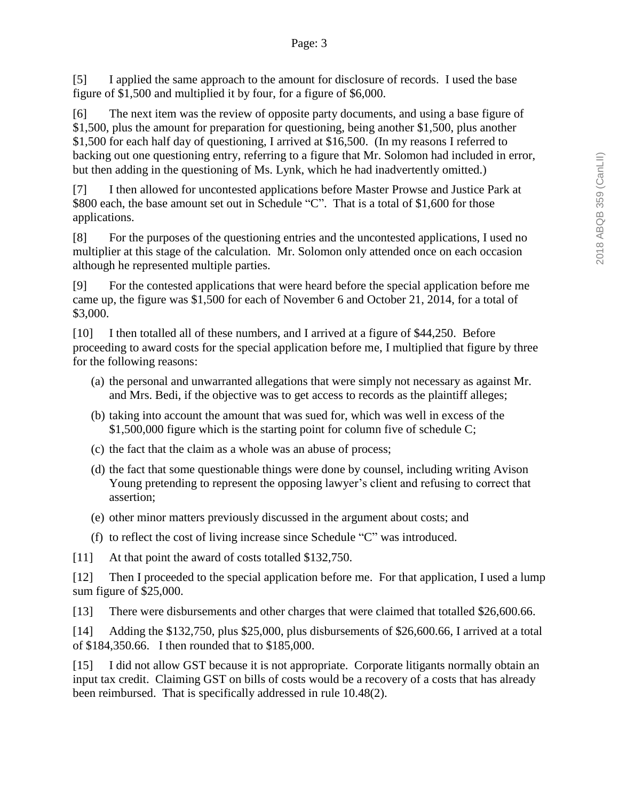[5] I applied the same approach to the amount for disclosure of records. I used the base figure of \$1,500 and multiplied it by four, for a figure of \$6,000.

[6] The next item was the review of opposite party documents, and using a base figure of \$1,500, plus the amount for preparation for questioning, being another \$1,500, plus another \$1,500 for each half day of questioning, I arrived at \$16,500. (In my reasons I referred to backing out one questioning entry, referring to a figure that Mr. Solomon had included in error, but then adding in the questioning of Ms. Lynk, which he had inadvertently omitted.)

[7] I then allowed for uncontested applications before Master Prowse and Justice Park at \$800 each, the base amount set out in Schedule "C". That is a total of \$1,600 for those applications.

[8] For the purposes of the questioning entries and the uncontested applications, I used no multiplier at this stage of the calculation. Mr. Solomon only attended once on each occasion although he represented multiple parties.

[9] For the contested applications that were heard before the special application before me came up, the figure was \$1,500 for each of November 6 and October 21, 2014, for a total of \$3,000.

[10] I then totalled all of these numbers, and I arrived at a figure of \$44,250. Before proceeding to award costs for the special application before me, I multiplied that figure by three for the following reasons:

- (a) the personal and unwarranted allegations that were simply not necessary as against Mr. and Mrs. Bedi, if the objective was to get access to records as the plaintiff alleges;
- (b) taking into account the amount that was sued for, which was well in excess of the \$1,500,000 figure which is the starting point for column five of schedule C;
- (c) the fact that the claim as a whole was an abuse of process;
- (d) the fact that some questionable things were done by counsel, including writing Avison Young pretending to represent the opposing lawyer's client and refusing to correct that assertion;
- (e) other minor matters previously discussed in the argument about costs; and
- (f) to reflect the cost of living increase since Schedule "C" was introduced.

[11] At that point the award of costs totalled \$132,750.

[12] Then I proceeded to the special application before me. For that application, I used a lump sum figure of \$25,000.

[13] There were disbursements and other charges that were claimed that totalled \$26,600.66.

[14] Adding the \$132,750, plus \$25,000, plus disbursements of \$26,600.66, I arrived at a total of \$184,350.66. I then rounded that to \$185,000.

[15] I did not allow GST because it is not appropriate. Corporate litigants normally obtain an input tax credit. Claiming GST on bills of costs would be a recovery of a costs that has already been reimbursed. That is specifically addressed in rule 10.48(2).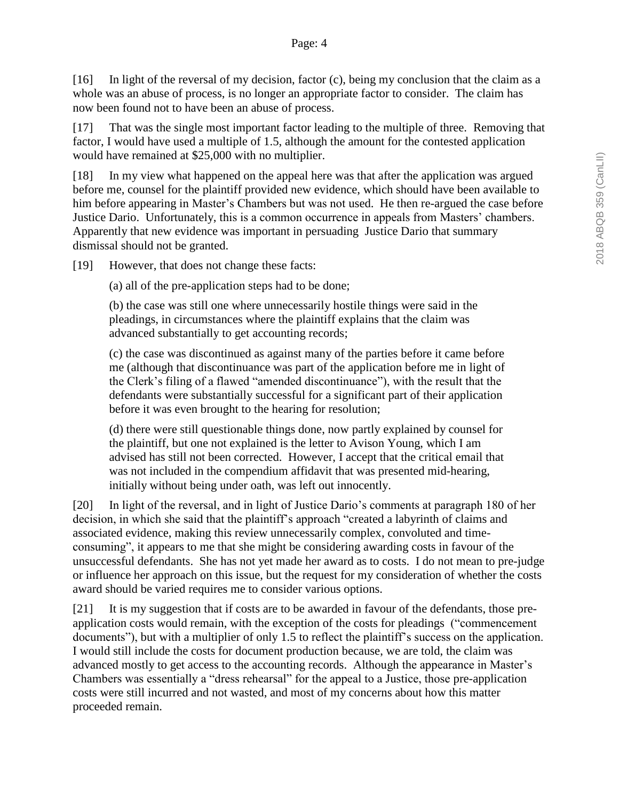[16] In light of the reversal of my decision, factor (c), being my conclusion that the claim as a whole was an abuse of process, is no longer an appropriate factor to consider. The claim has now been found not to have been an abuse of process.

[17] That was the single most important factor leading to the multiple of three. Removing that factor, I would have used a multiple of 1.5, although the amount for the contested application would have remained at \$25,000 with no multiplier.

[18] In my view what happened on the appeal here was that after the application was argued before me, counsel for the plaintiff provided new evidence, which should have been available to him before appearing in Master's Chambers but was not used. He then re-argued the case before Justice Dario. Unfortunately, this is a common occurrence in appeals from Masters' chambers. Apparently that new evidence was important in persuading Justice Dario that summary dismissal should not be granted.

[19] However, that does not change these facts:

(a) all of the pre-application steps had to be done;

(b) the case was still one where unnecessarily hostile things were said in the pleadings, in circumstances where the plaintiff explains that the claim was advanced substantially to get accounting records;

(c) the case was discontinued as against many of the parties before it came before me (although that discontinuance was part of the application before me in light of the Clerk's filing of a flawed "amended discontinuance"), with the result that the defendants were substantially successful for a significant part of their application before it was even brought to the hearing for resolution;

(d) there were still questionable things done, now partly explained by counsel for the plaintiff, but one not explained is the letter to Avison Young, which I am advised has still not been corrected. However, I accept that the critical email that was not included in the compendium affidavit that was presented mid-hearing, initially without being under oath, was left out innocently.

[20] In light of the reversal, and in light of Justice Dario's comments at paragraph 180 of her decision, in which she said that the plaintiff's approach "created a labyrinth of claims and associated evidence, making this review unnecessarily complex, convoluted and timeconsuming", it appears to me that she might be considering awarding costs in favour of the unsuccessful defendants. She has not yet made her award as to costs. I do not mean to pre-judge or influence her approach on this issue, but the request for my consideration of whether the costs award should be varied requires me to consider various options.

[21] It is my suggestion that if costs are to be awarded in favour of the defendants, those preapplication costs would remain, with the exception of the costs for pleadings ("commencement documents"), but with a multiplier of only 1.5 to reflect the plaintiff's success on the application. I would still include the costs for document production because, we are told, the claim was advanced mostly to get access to the accounting records. Although the appearance in Master's Chambers was essentially a "dress rehearsal" for the appeal to a Justice, those pre-application costs were still incurred and not wasted, and most of my concerns about how this matter proceeded remain.